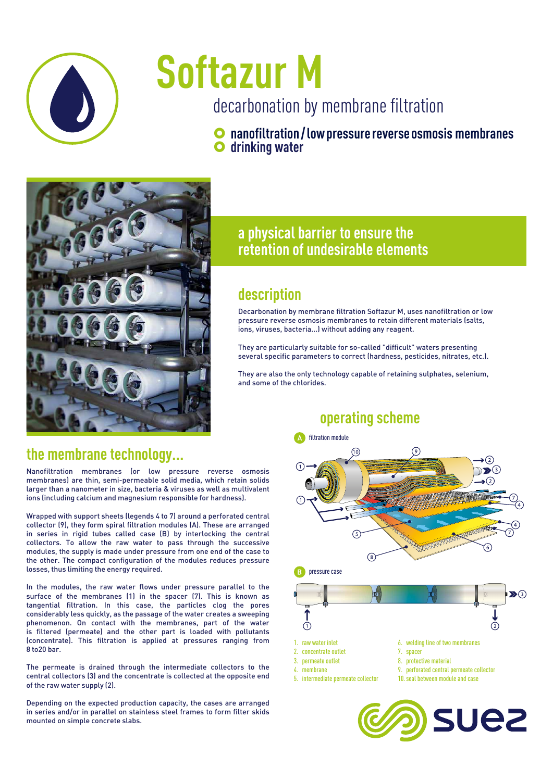

# **Softazur M**

# decarbonation by membrane filtration

} **nanofiltration / low pressure reverse osmosis membranes**  $\bullet$  drinking water



#### **a physical barrier to ensure the retention of undesirable elements**

### **description**

Decarbonation by membrane filtration Softazur M, uses nanofiltration or low pressure reverse osmosis membranes to retain different materials (salts, ions, viruses, bacteria...) without adding any reagent.

They are particularly suitable for so-called "difficult" waters presenting several specific parameters to correct (hardness, pesticides, nitrates, etc.).

They are also the only technology capable of retaining sulphates, selenium, and some of the chlorides.

#### **the membrane technology...**

Nanofiltration membranes (or low pressure reverse osmosis membranes) are thin, semi-permeable solid media, which retain solids larger than a nanometer in size, bacteria & viruses as well as multivalent ions (including calcium and magnesium responsible for hardness).

Wrapped with support sheets (legends 4 to 7) around a perforated central collector (9), they form spiral filtration modules (A). These are arranged in series in rigid tubes called case (B) by interlocking the central collectors. To allow the raw water to pass through the successive modules, the supply is made under pressure from one end of the case to the other. The compact configuration of the modules reduces pressure losses, thus limiting the energy required.

In the modules, the raw water flows under pressure parallel to the surface of the membranes (1) in the spacer (7). This is known as tangential filtration. In this case, the particles clog the pores considerably less quickly, as the passage of the water creates a sweeping phenomenon. On contact with the membranes, part of the water is filtered (permeate) and the other part is loaded with pollutants (concentrate). This filtration is applied at pressures ranging from 8 to20 bar.

The permeate is drained through the intermediate collectors to the central collectors (3) and the concentrate is collected at the opposite end of the raw water supply (2).

Depending on the expected production capacity, the cases are arranged in series and/or in parallel on stainless steel frames to form filter skids mounted on simple concrete slabs.